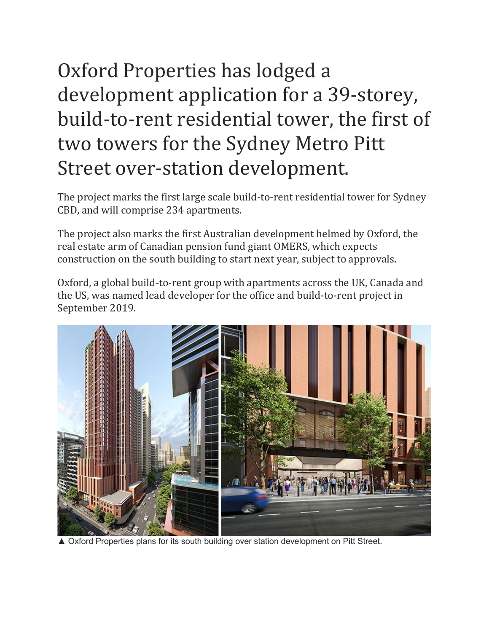## Oxford Properties has lodged a development application for a 39-storey, build-to-rent residential tower, the first of two towers for the Sydney Metro Pitt Street over-station development.

The project marks the first large scale build-to-rent residential tower for Sydney CBD, and will comprise 234 apartments.

The project also marks the first Australian development helmed by Oxford, the real estate arm of Canadian pension fund giant OMERS, which expects construction on the south building to start next year, subject to approvals.

Oxford, a global build-to-rent group with apartments across the UK, Canada and the US, was named lead developer for the office and build-to-rent project in September 2019.



▲ Oxford Properties plans for its south building over station development on Pitt Street.